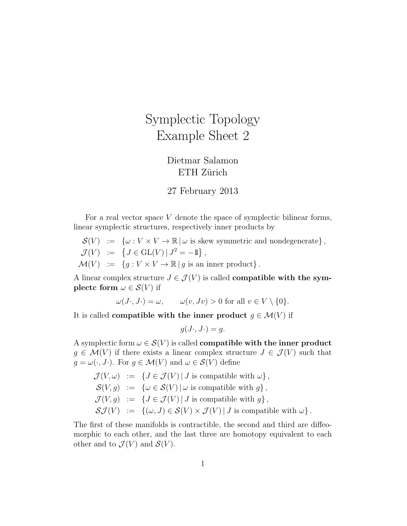## Symplectic Topology Example Sheet 2

## Dietmar Salamon ETH Zürich

## 27 February 2013

For a real vector space V denote the space of symplectic bilinear forms, linear symplectic structures, respectively inner products by

- $\mathcal{S}(V) := \{ \omega : V \times V \to \mathbb{R} \mid \omega \text{ is skew symmetric and nondegenerate} \},\$
- $\mathcal{J}(V) := \{ J \in GL(V) | J^2 = -1 \},\$
- $\mathcal{M}(V) := \{ g : V \times V \to \mathbb{R} \mid g \text{ is an inner product} \}.$

A linear complex structure  $J \in \mathcal{J}(V)$  is called **compatible with the sym**plectc form  $\omega \in \mathcal{S}(V)$  if

 $\omega(J \cdot, J \cdot) = \omega, \qquad \omega(v, Jv) > 0$  for all  $v \in V \setminus \{0\}.$ 

It is called **compatible with the inner product**  $g \in \mathcal{M}(V)$  if

$$
g(J\cdot, J\cdot) = g.
$$

A symplectic form  $\omega \in \mathcal{S}(V)$  is called **compatible with the inner product**  $g \in \mathcal{M}(V)$  if there exists a linear complex structure  $J \in \mathcal{J}(V)$  such that  $q = \omega(\cdot, J)$ . For  $q \in \mathcal{M}(V)$  and  $\omega \in \mathcal{S}(V)$  define

 $\mathcal{J}(V, \omega) := \{ J \in \mathcal{J}(V) | J \text{ is compatible with } \omega \},$  $\mathcal{S}(V, g) := \{ \omega \in \mathcal{S}(V) | \omega \text{ is compatible with } q \},$  $\mathcal{J}(V, q) := \{J \in \mathcal{J}(V) | J \text{ is compatible with } q\},\$  $\mathcal{S}J(V) := \{(\omega, J) \in \mathcal{S}(V) \times \mathcal{J}(V) | J \text{ is compatible with } \omega \}.$ 

The first of these manifolds is contractible, the second and third are diffeomorphic to each other, and the last three are homotopy equivalent to each other and to  $\mathcal{J}(V)$  and  $\mathcal{S}(V)$ .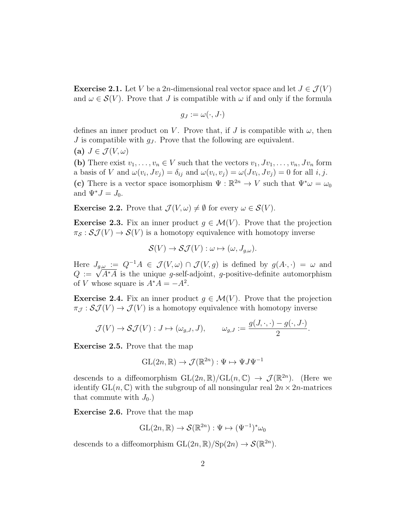**Exercise 2.1.** Let V be a 2n-dimensional real vector space and let  $J \in \mathcal{J}(V)$ and  $\omega \in \mathcal{S}(V)$ . Prove that J is compatible with  $\omega$  if and only if the formula

$$
g_J:=\omega(\cdot,J\cdot)
$$

defines an inner product on V. Prove that, if J is compatible with  $\omega$ , then J is compatible with  $q_J$ . Prove that the following are equivalent.

(a) 
$$
J \in \mathcal{J}(V, \omega)
$$

(b) There exist  $v_1, \ldots, v_n \in V$  such that the vectors  $v_1, Jv_1, \ldots, v_n, Jv_n$  form a basis of V and  $\omega(v_i, Jv_j) = \delta_{ij}$  and  $\omega(v_i, v_j) = \omega(Jv_i, Jv_j) = 0$  for all i, j. (c) There is a vector space isomorphism  $\Psi : \mathbb{R}^{2n} \to V$  such that  $\Psi^* \omega = \omega_0$ and  $\Psi^* J = J_0$ .

**Exercise 2.2.** Prove that  $\mathcal{J}(V, \omega) \neq \emptyset$  for every  $\omega \in \mathcal{S}(V)$ .

**Exercise 2.3.** Fix an inner product  $g \in \mathcal{M}(V)$ . Prove that the projection  $\pi_{\mathcal{S}} : \mathcal{S}\mathcal{J}(V) \to \mathcal{S}(V)$  is a homotopy equivalence with homotopy inverse

$$
\mathcal{S}(V) \to \mathcal{S}\mathcal{J}(V) : \omega \mapsto (\omega, J_{g,\omega}).
$$

Here  $J_{g,\omega} := Q^{-1}A \in \mathcal{J}(V,\omega) \cap \mathcal{J}(V,g)$  is defined by  $g(A \cdot, \cdot) = \omega$  and  $Q := \sqrt{A^*A}$  is the unique g-self-adjoint, g-positive-definite automorphism of V whose square is  $A^*A = -A^2$ .

**Exercise 2.4.** Fix an inner product  $g \in \mathcal{M}(V)$ . Prove that the projection  $\pi_{\mathcal{J}} : \mathcal{S}\mathcal{J}(V) \to \mathcal{J}(V)$  is a homotopy equivalence with homotopy inverse

$$
\mathcal{J}(V) \to \mathcal{S}\mathcal{J}(V) : J \mapsto (\omega_{g,J}, J), \qquad \omega_{g,J} := \frac{g(J, \cdot, \cdot) - g(\cdot, J \cdot)}{2}.
$$

Exercise 2.5. Prove that the map

$$
GL(2n,\mathbb{R})\to \mathcal{J}(\mathbb{R}^{2n}):\Psi\mapsto \Psi J\Psi^{-1}
$$

descends to a diffeomorphism  $GL(2n,\mathbb{R})/GL(n,\mathbb{C}) \to \mathcal{J}(\mathbb{R}^{2n})$ . (Here we identify  $GL(n, \mathbb{C})$  with the subgroup of all nonsingular real  $2n \times 2n$ -matrices that commute with  $J_0$ .)

Exercise 2.6. Prove that the map

$$
GL(2n,\mathbb{R})\to \mathcal{S}(\mathbb{R}^{2n}):\Psi\mapsto (\Psi^{-1})^*\omega_0
$$

descends to a diffeomorphism  $GL(2n, \mathbb{R})/Sp(2n) \to \mathcal{S}(\mathbb{R}^{2n})$ .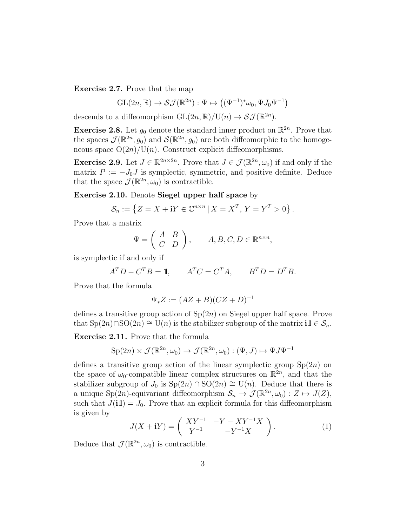Exercise 2.7. Prove that the map

$$
GL(2n,\mathbb{R})\to \mathcal{SI}(\mathbb{R}^{2n}):\Psi\mapsto \big((\Psi^{-1})^*\omega_0,\Psi J_0\Psi^{-1}\big)
$$

descends to a diffeomorphism  $GL(2n, \mathbb{R})/U(n) \to \mathcal{SI}(\mathbb{R}^{2n})$ .

**Exercise 2.8.** Let  $g_0$  denote the standard inner product on  $\mathbb{R}^{2n}$ . Prove that the spaces  $\mathcal{J}(\mathbb{R}^{2n}, g_0)$  and  $\mathcal{S}(\mathbb{R}^{2n}, g_0)$  are both diffeomorphic to the homogeneous space  $O(2n)/U(n)$ . Construct explicit diffeomorphisms.

**Exercise 2.9.** Let  $J \in \mathbb{R}^{2n \times 2n}$ . Prove that  $J \in \mathcal{J}(\mathbb{R}^{2n}, \omega_0)$  if and only if the matrix  $P := -J_0J$  is symplectic, symmetric, and positive definite. Deduce that the space  $\mathcal{J}(\mathbb{R}^{2n},\omega_0)$  is contractible.

Exercise 2.10. Denote Siegel upper half space by

$$
\mathcal{S}_n := \left\{ Z = X + \mathbf{i} Y \in \mathbb{C}^{n \times n} \, | \, X = X^T, \, Y = Y^T > 0 \right\}.
$$

Prove that a matrix

$$
\Psi = \left( \begin{array}{cc} A & B \\ C & D \end{array} \right), \qquad A, B, C, D \in \mathbb{R}^{n \times n},
$$

is symplectic if and only if

$$
A^T D - C^T B = \mathbb{1}, \qquad A^T C = C^T A, \qquad B^T D = D^T B.
$$

Prove that the formula

$$
\Psi_* Z := (AZ + B)(CZ + D)^{-1}
$$

defines a transitive group action of  $Sp(2n)$  on Siegel upper half space. Prove that  $\text{Sp}(2n)\cap \text{SO}(2n) \cong \text{U}(n)$  is the stabilizer subgroup of the matrix  $i1\!\mathbb{I} \in \mathcal{S}_n$ .

Exercise 2.11. Prove that the formula

$$
Sp(2n) \times \mathcal{J}(\mathbb{R}^{2n}, \omega_0) \to \mathcal{J}(\mathbb{R}^{2n}, \omega_0) : (\Psi, J) \mapsto \Psi J \Psi^{-1}
$$

defines a transitive group action of the linear symplectic group  $Sp(2n)$  on the space of  $\omega_0$ -compatible linear complex structures on  $\mathbb{R}^{2n}$ , and that the stabilizer subgroup of  $J_0$  is  $\text{Sp}(2n) \cap \text{SO}(2n) \cong \text{U}(n)$ . Deduce that there is a unique Sp(2n)-equivariant diffeomorphism  $S_n \to \mathcal{J}(\mathbb{R}^{2n}, \omega_0) : Z \mapsto J(Z)$ , such that  $J(i\mathbb{1}) = J_0$ . Prove that an explicit formula for this diffeomorphism is given by

$$
J(X + iY) = \begin{pmatrix} XY^{-1} & -Y - XY^{-1}X \\ Y^{-1} & -Y^{-1}X \end{pmatrix}.
$$
 (1)

Deduce that  $\mathcal{J}(\mathbb{R}^{2n},\omega_0)$  is contractible.